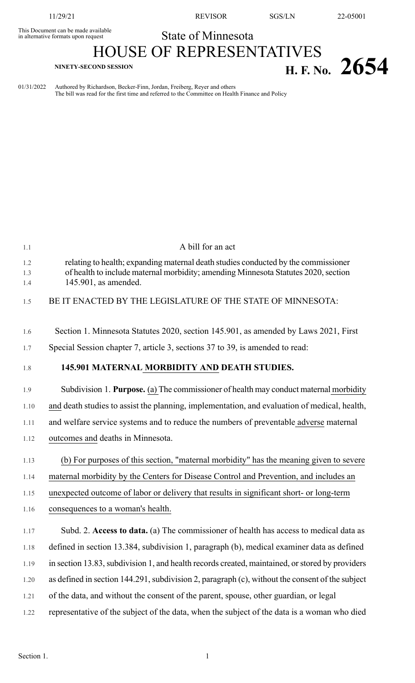This Document can be made available<br>in alternative formats upon request

11/29/21 REVISOR SGS/LN 22-05001

## State of Minnesota

## HOUSE OF REPRESENTATIVES **H. F. No.** 2654

01/31/2022 Authored by Richardson, Becker-Finn, Jordan, Freiberg, Reyer and others The bill was read for the first time and referred to the Committee on Health Finance and Policy

| 1.1               | A bill for an act                                                                                                                                                                                |
|-------------------|--------------------------------------------------------------------------------------------------------------------------------------------------------------------------------------------------|
| 1.2<br>1.3<br>1.4 | relating to health; expanding maternal death studies conducted by the commissioner<br>of health to include maternal morbidity; amending Minnesota Statutes 2020, section<br>145.901, as amended. |
| 1.5               | BE IT ENACTED BY THE LEGISLATURE OF THE STATE OF MINNESOTA:                                                                                                                                      |
| 1.6               | Section 1. Minnesota Statutes 2020, section 145.901, as amended by Laws 2021, First                                                                                                              |
| 1.7               | Special Session chapter 7, article 3, sections 37 to 39, is amended to read:                                                                                                                     |
| 1.8               | 145.901 MATERNAL MORBIDITY AND DEATH STUDIES.                                                                                                                                                    |
| 1.9               | Subdivision 1. Purpose. (a) The commissioner of health may conduct maternal morbidity                                                                                                            |
| 1.10              | and death studies to assist the planning, implementation, and evaluation of medical, health,                                                                                                     |
| 1.11              | and welfare service systems and to reduce the numbers of preventable adverse maternal                                                                                                            |
| 1.12              | outcomes and deaths in Minnesota.                                                                                                                                                                |
| 1.13              | (b) For purposes of this section, "maternal morbidity" has the meaning given to severe                                                                                                           |
| 1.14              | maternal morbidity by the Centers for Disease Control and Prevention, and includes an                                                                                                            |
| 1.15              | unexpected outcome of labor or delivery that results in significant short- or long-term                                                                                                          |
| 1.16              | consequences to a woman's health.                                                                                                                                                                |
| 1.17              | Subd. 2. Access to data. (a) The commissioner of health has access to medical data as                                                                                                            |
| 1.18              | defined in section 13.384, subdivision 1, paragraph (b), medical examiner data as defined                                                                                                        |
| 1.19              | in section 13.83, subdivision 1, and health records created, maintained, or stored by providers                                                                                                  |
| 1.20              | as defined in section 144.291, subdivision 2, paragraph (c), without the consent of the subject                                                                                                  |
| 1.21              | of the data, and without the consent of the parent, spouse, other guardian, or legal                                                                                                             |
| 1.22              | representative of the subject of the data, when the subject of the data is a woman who died                                                                                                      |
|                   |                                                                                                                                                                                                  |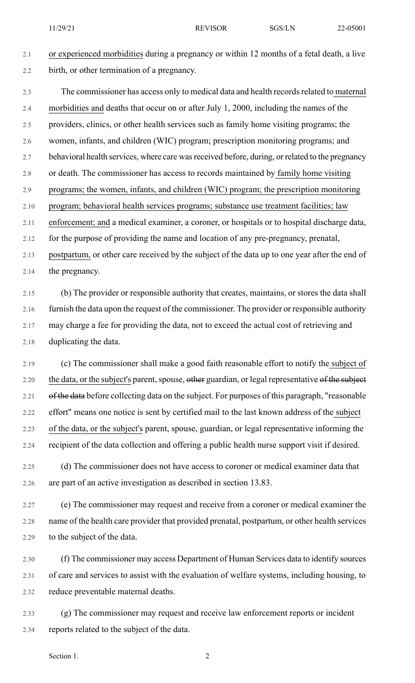## 2.1 or experienced morbidities during a pregnancy or within 12 months of a fetal death, a live 2.2 birth, or other termination of a pregnancy.

2.3 The commissioner has access only to medical data and health records related to maternal 2.4 morbidities and deaths that occur on or after July 1, 2000, including the names of the 2.5 providers, clinics, or other health services such as family home visiting programs; the 2.6 women, infants, and children (WIC) program; prescription monitoring programs; and 2.7 behavioral health services, where care was received before, during, or related to the pregnancy 2.8 or death. The commissioner has access to records maintained by family home visiting 2.9 programs; the women, infants, and children (WIC) program; the prescription monitoring 2.10 program; behavioral health services programs; substance use treatment facilities; law 2.11 enforcement; and a medical examiner, a coroner, or hospitals or to hospital discharge data, 2.12 for the purpose of providing the name and location of any pre-pregnancy, prenatal, 2.13 postpartum, or other care received by the subject of the data up to one year after the end of

2.14 the pregnancy.

2.15 (b) The provider or responsible authority that creates, maintains, or stores the data shall 2.16 furnish the data upon the request of the commissioner. The provider or responsible authority 2.17 may charge a fee for providing the data, not to exceed the actual cost of retrieving and 2.18 duplicating the data.

2.19 (c) The commissioner shall make a good faith reasonable effort to notify the subject of 2.20 the data, or the subject's parent, spouse, other guardian, or legal representative of the subject 2.21 of the data before collecting data on the subject. For purposes of this paragraph, "reasonable 2.22 effort" means one notice is sent by certified mail to the last known address of the subject 2.23 of the data, or the subject's parent, spouse, guardian, or legal representative informing the 2.24 recipient of the data collection and offering a public health nurse support visit if desired.

2.25 (d) The commissioner does not have access to coroner or medical examiner data that 2.26 are part of an active investigation as described in section 13.83.

2.27 (e) The commissioner may request and receive from a coroner or medical examiner the 2.28 name of the health care provider that provided prenatal, postpartum, or other health services 2.29 to the subject of the data.

2.30 (f) The commissioner may access Department of Human Services data to identify sources 2.31 of care and services to assist with the evaluation of welfare systems, including housing, to 2.32 reduce preventable maternal deaths.

2.33 (g) The commissioner may request and receive law enforcement reports or incident 2.34 reports related to the subject of the data.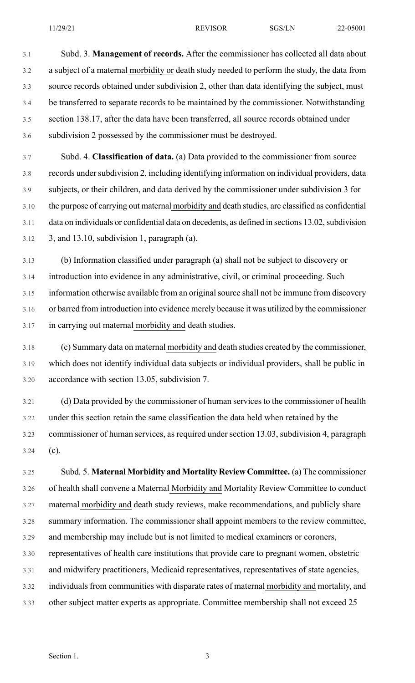3.1 Subd. 3. **Management of records.** After the commissioner has collected all data about 3.2 a subject of a maternal morbidity or death study needed to perform the study, the data from 3.3 source records obtained under subdivision 2, other than data identifying the subject, must 3.4 be transferred to separate records to be maintained by the commissioner. Notwithstanding 3.5 section 138.17, after the data have been transferred, all source records obtained under 3.6 subdivision 2 possessed by the commissioner must be destroyed.

3.7 Subd. 4. **Classification of data.** (a) Data provided to the commissioner from source 3.8 records under subdivision 2, including identifying information on individual providers, data 3.9 subjects, or their children, and data derived by the commissioner under subdivision 3 for 3.10 the purpose of carrying out maternal morbidity and death studies, are classified as confidential 3.11 data on individuals or confidential data on decedents, as defined in sections 13.02, subdivision  $3.12$  3, and 13.10, subdivision 1, paragraph (a).

3.13 (b) Information classified under paragraph (a) shall not be subject to discovery or 3.14 introduction into evidence in any administrative, civil, or criminal proceeding. Such 3.15 information otherwise available from an original source shall not be immune from discovery 3.16 or barred from introduction into evidence merely because it was utilized by the commissioner 3.17 in carrying out maternal morbidity and death studies.

3.18 (c) Summary data on maternal morbidity and death studies created by the commissioner, 3.19 which does not identify individual data subjects or individual providers, shall be public in 3.20 accordance with section 13.05, subdivision 7.

3.21 (d) Data provided by the commissioner of human services to the commissioner of health 3.22 under this section retain the same classification the data held when retained by the 3.23 commissioner of human services, as required under section 13.03, subdivision 4, paragraph 3.24 (c).

3.25 Subd. 5. **Maternal Morbidity and Mortality Review Committee.** (a) The commissioner 3.26 of health shall convene a Maternal Morbidity and Mortality Review Committee to conduct 3.27 maternal morbidity and death study reviews, make recommendations, and publicly share 3.28 summary information. The commissioner shall appoint members to the review committee, 3.29 and membership may include but is not limited to medical examiners or coroners, 3.30 representatives of health care institutions that provide care to pregnant women, obstetric 3.31 and midwifery practitioners, Medicaid representatives, representatives of state agencies, 3.32 individuals from communities with disparate rates of maternal morbidity and mortality, and 3.33 other subject matter experts as appropriate. Committee membership shall not exceed 25